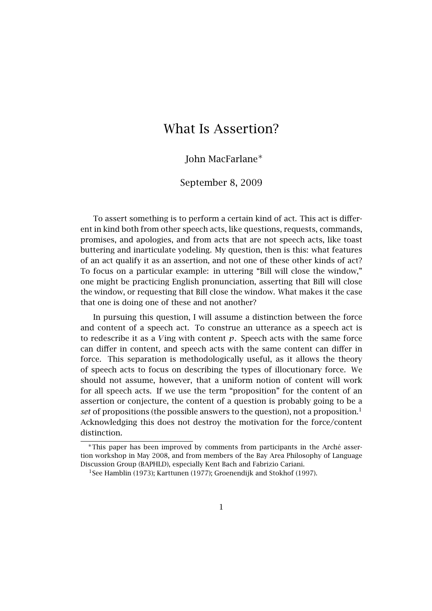# What Is Assertion?

#### John MacFarlane<sup>∗</sup>

#### September 8, 2009

To assert something is to perform a certain kind of act. This act is different in kind both from other speech acts, like questions, requests, commands, promises, and apologies, and from acts that are not speech acts, like toast buttering and inarticulate yodeling. My question, then is this: what features of an act qualify it as an assertion, and not one of these other kinds of act? To focus on a particular example: in uttering "Bill will close the window," one might be practicing English pronunciation, asserting that Bill will close the window, or requesting that Bill close the window. What makes it the case that one is doing one of these and not another?

In pursuing this question, I will assume a distinction between the force and content of a speech act. To construe an utterance as a speech act is to redescribe it as a *V*ing with content *p*. Speech acts with the same force can differ in content, and speech acts with the same content can differ in force. This separation is methodologically useful, as it allows the theory of speech acts to focus on describing the types of illocutionary force. We should not assume, however, that a uniform notion of content will work for all speech acts. If we use the term "proposition" for the content of an assertion or conjecture, the content of a question is probably going to be a *set* of propositions (the possible answers to the question), not a proposition.<sup>1</sup> Acknowledging this does not destroy the motivation for the force/content distinction.

<sup>∗</sup>This paper has been improved by comments from participants in the Arché assertion workshop in May 2008, and from members of the Bay Area Philosophy of Language Discussion Group (BAPHLD), especially Kent Bach and Fabrizio Cariani.

<sup>&</sup>lt;sup>1</sup>See Hamblin (1973); Karttunen (1977); Groenendijk and Stokhof (1997).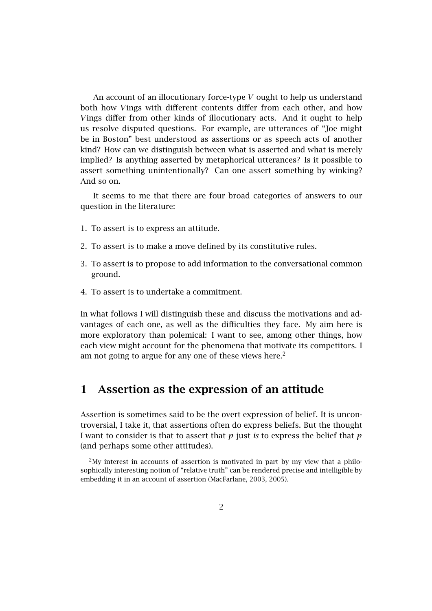An account of an illocutionary force-type *V* ought to help us understand both how *V*ings with different contents differ from each other, and how *V*ings differ from other kinds of illocutionary acts. And it ought to help us resolve disputed questions. For example, are utterances of "Joe might be in Boston" best understood as assertions or as speech acts of another kind? How can we distinguish between what is asserted and what is merely implied? Is anything asserted by metaphorical utterances? Is it possible to assert something unintentionally? Can one assert something by winking? And so on.

It seems to me that there are four broad categories of answers to our question in the literature:

- 1. To assert is to express an attitude.
- 2. To assert is to make a move defined by its constitutive rules.
- 3. To assert is to propose to add information to the conversational common ground.
- 4. To assert is to undertake a commitment.

In what follows I will distinguish these and discuss the motivations and advantages of each one, as well as the difficulties they face. My aim here is more exploratory than polemical: I want to see, among other things, how each view might account for the phenomena that motivate its competitors. I am not going to argue for any one of these views here.<sup>2</sup>

## 1 Assertion as the expression of an attitude

Assertion is sometimes said to be the overt expression of belief. It is uncontroversial, I take it, that assertions often do express beliefs. But the thought I want to consider is that to assert that *p* just *is* to express the belief that *p* (and perhaps some other attitudes).

 $2\text{My}$  interest in accounts of assertion is motivated in part by my view that a philosophically interesting notion of "relative truth" can be rendered precise and intelligible by embedding it in an account of assertion (MacFarlane, 2003, 2005).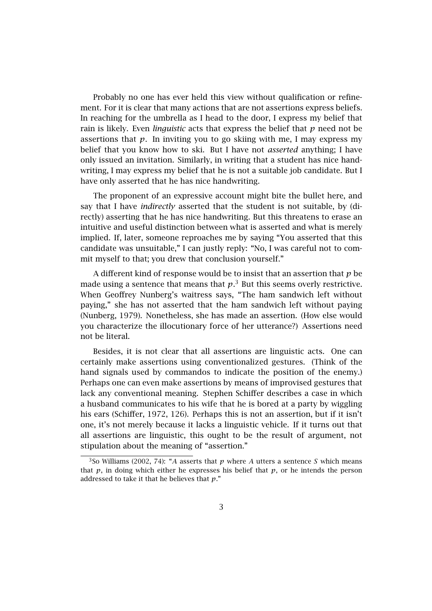Probably no one has ever held this view without qualification or refinement. For it is clear that many actions that are not assertions express beliefs. In reaching for the umbrella as I head to the door, I express my belief that rain is likely. Even *linguistic* acts that express the belief that *p* need not be assertions that  $p$ . In inviting you to go skiing with me, I may express my belief that you know how to ski. But I have not *asserted* anything; I have only issued an invitation. Similarly, in writing that a student has nice handwriting, I may express my belief that he is not a suitable job candidate. But I have only asserted that he has nice handwriting.

The proponent of an expressive account might bite the bullet here, and say that I have *indirectly* asserted that the student is not suitable, by (directly) asserting that he has nice handwriting. But this threatens to erase an intuitive and useful distinction between what is asserted and what is merely implied. If, later, someone reproaches me by saying "You asserted that this candidate was unsuitable," I can justly reply: "No, I was careful not to commit myself to that; you drew that conclusion yourself."

A different kind of response would be to insist that an assertion that *p* be made using a sentence that means that  $p.^3$  But this seems overly restrictive. When Geoffrey Nunberg's waitress says, "The ham sandwich left without paying," she has not asserted that the ham sandwich left without paying (Nunberg, 1979). Nonetheless, she has made an assertion. (How else would you characterize the illocutionary force of her utterance?) Assertions need not be literal.

Besides, it is not clear that all assertions are linguistic acts. One can certainly make assertions using conventionalized gestures. (Think of the hand signals used by commandos to indicate the position of the enemy.) Perhaps one can even make assertions by means of improvised gestures that lack any conventional meaning. Stephen Schiffer describes a case in which a husband communicates to his wife that he is bored at a party by wiggling his ears (Schiffer, 1972, 126). Perhaps this is not an assertion, but if it isn't one, it's not merely because it lacks a linguistic vehicle. If it turns out that all assertions are linguistic, this ought to be the result of argument, not stipulation about the meaning of "assertion."

<sup>&</sup>lt;sup>3</sup>So Williams (2002, 74): "*A* asserts that  $p$  where *A* utters a sentence *S* which means that  $p$ , in doing which either he expresses his belief that  $p$ , or he intends the person addressed to take it that he believes that *p*."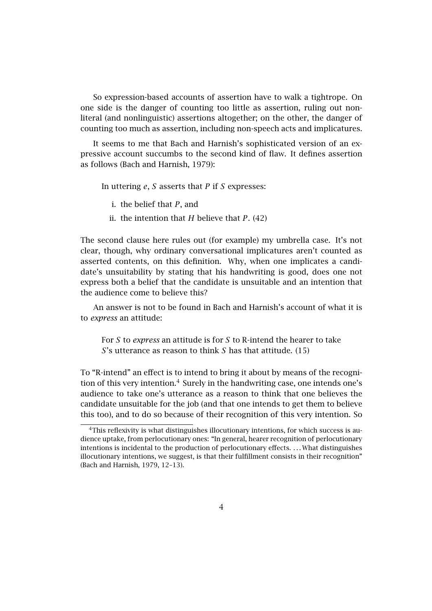So expression-based accounts of assertion have to walk a tightrope. On one side is the danger of counting too little as assertion, ruling out nonliteral (and nonlinguistic) assertions altogether; on the other, the danger of counting too much as assertion, including non-speech acts and implicatures.

It seems to me that Bach and Harnish's sophisticated version of an expressive account succumbs to the second kind of flaw. It defines assertion as follows (Bach and Harnish, 1979):

In uttering *e*, *S* asserts that *P* if *S* expresses:

- i. the belief that *P*, and
- ii. the intention that *H* believe that *P*. (42)

The second clause here rules out (for example) my umbrella case. It's not clear, though, why ordinary conversational implicatures aren't counted as asserted contents, on this definition. Why, when one implicates a candidate's unsuitability by stating that his handwriting is good, does one not express both a belief that the candidate is unsuitable and an intention that the audience come to believe this?

An answer is not to be found in Bach and Harnish's account of what it is to *express* an attitude:

For *S* to *express* an attitude is for *S* to R-intend the hearer to take *S*'s utterance as reason to think *S* has that attitude. (15)

To "R-intend" an effect is to intend to bring it about by means of the recognition of this very intention.<sup>4</sup> Surely in the handwriting case, one intends one's audience to take one's utterance as a reason to think that one believes the candidate unsuitable for the job (and that one intends to get them to believe this too), and to do so because of their recognition of this very intention. So

<sup>4</sup>This reflexivity is what distinguishes illocutionary intentions, for which success is audience uptake, from perlocutionary ones: "In general, hearer recognition of perlocutionary intentions is incidental to the production of perlocutionary effects. . . . What distinguishes illocutionary intentions, we suggest, is that their fulfillment consists in their recognition" (Bach and Harnish, 1979, 12–13).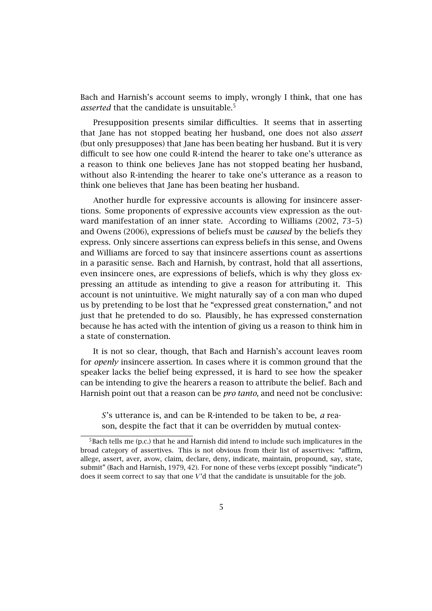Bach and Harnish's account seems to imply, wrongly I think, that one has *asserted* that the candidate is unsuitable.<sup>5</sup>

Presupposition presents similar difficulties. It seems that in asserting that Jane has not stopped beating her husband, one does not also *assert* (but only presupposes) that Jane has been beating her husband. But it is very difficult to see how one could R-intend the hearer to take one's utterance as a reason to think one believes Jane has not stopped beating her husband, without also R-intending the hearer to take one's utterance as a reason to think one believes that Jane has been beating her husband.

Another hurdle for expressive accounts is allowing for insincere assertions. Some proponents of expressive accounts view expression as the outward manifestation of an inner state. According to Williams (2002, 73–5) and Owens (2006), expressions of beliefs must be *caused* by the beliefs they express. Only sincere assertions can express beliefs in this sense, and Owens and Williams are forced to say that insincere assertions count as assertions in a parasitic sense. Bach and Harnish, by contrast, hold that all assertions, even insincere ones, are expressions of beliefs, which is why they gloss expressing an attitude as intending to give a reason for attributing it. This account is not unintuitive. We might naturally say of a con man who duped us by pretending to be lost that he "expressed great consternation," and not just that he pretended to do so. Plausibly, he has expressed consternation because he has acted with the intention of giving us a reason to think him in a state of consternation.

It is not so clear, though, that Bach and Harnish's account leaves room for *openly* insincere assertion. In cases where it is common ground that the speaker lacks the belief being expressed, it is hard to see how the speaker can be intending to give the hearers a reason to attribute the belief. Bach and Harnish point out that a reason can be *pro tanto*, and need not be conclusive:

*S*'s utterance is, and can be R-intended to be taken to be, *a* reason, despite the fact that it can be overridden by mutual contex-

 $5$ Bach tells me (p.c.) that he and Harnish did intend to include such implicatures in the broad category of assertives. This is not obvious from their list of assertives: "affirm, allege, assert, aver, avow, claim, declare, deny, indicate, maintain, propound, say, state, submit" (Bach and Harnish, 1979, 42). For none of these verbs (except possibly "indicate") does it seem correct to say that one *V*'d that the candidate is unsuitable for the job.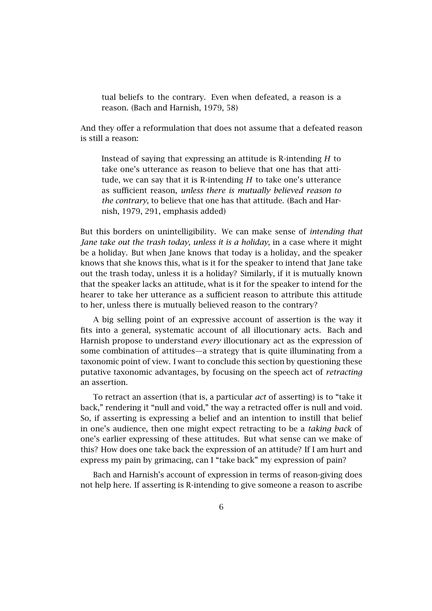tual beliefs to the contrary. Even when defeated, a reason is a reason. (Bach and Harnish, 1979, 58)

And they offer a reformulation that does not assume that a defeated reason is still a reason:

Instead of saying that expressing an attitude is R-intending *H* to take one's utterance as reason to believe that one has that attitude, we can say that it is R-intending *H* to take one's utterance as sufficient reason, *unless there is mutually believed reason to the contrary*, to believe that one has that attitude. (Bach and Harnish, 1979, 291, emphasis added)

But this borders on unintelligibility. We can make sense of *intending that Jane take out the trash today, unless it is a holiday*, in a case where it might be a holiday. But when Jane knows that today is a holiday, and the speaker knows that she knows this, what is it for the speaker to intend that Jane take out the trash today, unless it is a holiday? Similarly, if it is mutually known that the speaker lacks an attitude, what is it for the speaker to intend for the hearer to take her utterance as a sufficient reason to attribute this attitude to her, unless there is mutually believed reason to the contrary?

A big selling point of an expressive account of assertion is the way it fits into a general, systematic account of all illocutionary acts. Bach and Harnish propose to understand *every* illocutionary act as the expression of some combination of attitudes—a strategy that is quite illuminating from a taxonomic point of view. I want to conclude this section by questioning these putative taxonomic advantages, by focusing on the speech act of *retracting* an assertion.

To retract an assertion (that is, a particular *act* of asserting) is to "take it back," rendering it "null and void," the way a retracted offer is null and void. So, if asserting is expressing a belief and an intention to instill that belief in one's audience, then one might expect retracting to be a *taking back* of one's earlier expressing of these attitudes. But what sense can we make of this? How does one take back the expression of an attitude? If I am hurt and express my pain by grimacing, can I "take back" my expression of pain?

Bach and Harnish's account of expression in terms of reason-giving does not help here. If asserting is R-intending to give someone a reason to ascribe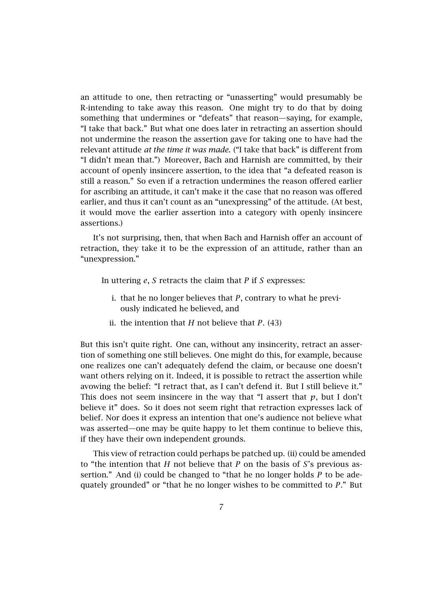an attitude to one, then retracting or "unasserting" would presumably be R-intending to take away this reason. One might try to do that by doing something that undermines or "defeats" that reason—saying, for example, "I take that back." But what one does later in retracting an assertion should not undermine the reason the assertion gave for taking one to have had the relevant attitude *at the time it was made*. ("I take that back" is different from "I didn't mean that.") Moreover, Bach and Harnish are committed, by their account of openly insincere assertion, to the idea that "a defeated reason is still a reason." So even if a retraction undermines the reason offered earlier for ascribing an attitude, it can't make it the case that no reason was offered earlier, and thus it can't count as an "unexpressing" of the attitude. (At best, it would move the earlier assertion into a category with openly insincere assertions.)

It's not surprising, then, that when Bach and Harnish offer an account of retraction, they take it to be the expression of an attitude, rather than an "unexpression."

In uttering *e*, *S* retracts the claim that *P* if *S* expresses:

- i. that he no longer believes that *P*, contrary to what he previously indicated he believed, and
- ii. the intention that  $H$  not believe that  $P$ . (43)

But this isn't quite right. One can, without any insincerity, retract an assertion of something one still believes. One might do this, for example, because one realizes one can't adequately defend the claim, or because one doesn't want others relying on it. Indeed, it is possible to retract the assertion while avowing the belief: "I retract that, as I can't defend it. But I still believe it." This does not seem insincere in the way that "I assert that  $p$ , but I don't believe it" does. So it does not seem right that retraction expresses lack of belief. Nor does it express an intention that one's audience not believe what was asserted—one may be quite happy to let them continue to believe this, if they have their own independent grounds.

This view of retraction could perhaps be patched up. (ii) could be amended to "the intention that *H* not believe that *P* on the basis of *S*'s previous assertion." And (i) could be changed to "that he no longer holds *P* to be adequately grounded" or "that he no longer wishes to be committed to *P*." But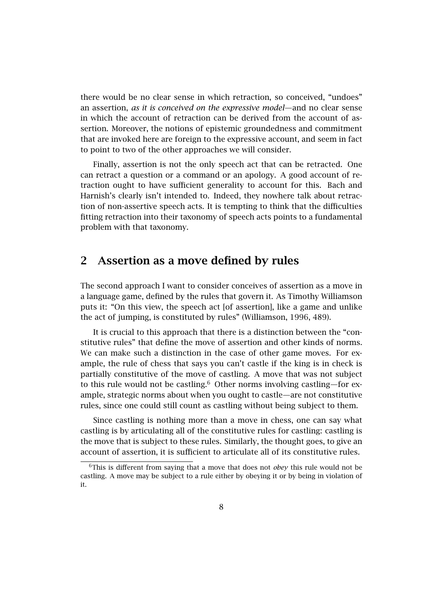there would be no clear sense in which retraction, so conceived, "undoes" an assertion, *as it is conceived on the expressive model*—and no clear sense in which the account of retraction can be derived from the account of assertion. Moreover, the notions of epistemic groundedness and commitment that are invoked here are foreign to the expressive account, and seem in fact to point to two of the other approaches we will consider.

Finally, assertion is not the only speech act that can be retracted. One can retract a question or a command or an apology. A good account of retraction ought to have sufficient generality to account for this. Bach and Harnish's clearly isn't intended to. Indeed, they nowhere talk about retraction of non-assertive speech acts. It is tempting to think that the difficulties fitting retraction into their taxonomy of speech acts points to a fundamental problem with that taxonomy.

## 2 Assertion as a move defined by rules

The second approach I want to consider conceives of assertion as a move in a language game, defined by the rules that govern it. As Timothy Williamson puts it: "On this view, the speech act [of assertion], like a game and unlike the act of jumping, is constituted by rules" (Williamson, 1996, 489).

It is crucial to this approach that there is a distinction between the "constitutive rules" that define the move of assertion and other kinds of norms. We can make such a distinction in the case of other game moves. For example, the rule of chess that says you can't castle if the king is in check is partially constitutive of the move of castling. A move that was not subject to this rule would not be castling.<sup>6</sup> Other norms involving castling—for example, strategic norms about when you ought to castle—are not constitutive rules, since one could still count as castling without being subject to them.

Since castling is nothing more than a move in chess, one can say what castling is by articulating all of the constitutive rules for castling: castling is the move that is subject to these rules. Similarly, the thought goes, to give an account of assertion, it is sufficient to articulate all of its constitutive rules.

<sup>6</sup>This is different from saying that a move that does not *obey* this rule would not be castling. A move may be subject to a rule either by obeying it or by being in violation of it.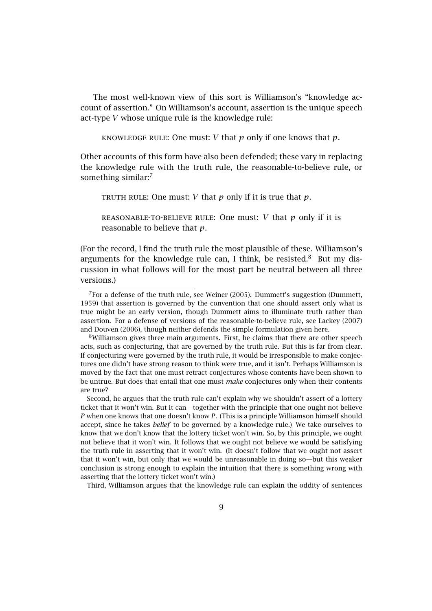The most well-known view of this sort is Williamson's "knowledge account of assertion." On Williamson's account, assertion is the unique speech act-type *V* whose unique rule is the knowledge rule:

knowledge rule: One must: *V* that  $p$  only if one knows that  $p$ .

Other accounts of this form have also been defended; these vary in replacing the knowledge rule with the truth rule, the reasonable-to-believe rule, or something similar:<sup>7</sup>

TRUTH RULE: One must:  $V$  that  $p$  only if it is true that  $p$ .

REASONABLE-TO-BELIEVE RULE: One must:  $V$  that  $p$  only if it is reasonable to believe that *p*.

(For the record, I find the truth rule the most plausible of these. Williamson's arguments for the knowledge rule can. I think, be resisted. $8$  But my discussion in what follows will for the most part be neutral between all three versions.)

Third, Williamson argues that the knowledge rule can explain the oddity of sentences

<sup>7</sup>For a defense of the truth rule, see Weiner (2005). Dummett's suggestion (Dummett, 1959) that assertion is governed by the convention that one should assert only what is true might be an early version, though Dummett aims to illuminate truth rather than assertion. For a defense of versions of the reasonable-to-believe rule, see Lackey (2007) and Douven (2006), though neither defends the simple formulation given here.

 $8$ Williamson gives three main arguments. First, he claims that there are other speech acts, such as conjecturing, that are governed by the truth rule. But this is far from clear. If conjecturing were governed by the truth rule, it would be irresponsible to make conjectures one didn't have strong reason to think were true, and it isn't. Perhaps Williamson is moved by the fact that one must retract conjectures whose contents have been shown to be untrue. But does that entail that one must *make* conjectures only when their contents are true?

Second, he argues that the truth rule can't explain why we shouldn't assert of a lottery ticket that it won't win. But it can—together with the principle that one ought not believe *P* when one knows that one doesn't know *P*. (This is a principle Williamson himself should accept, since he takes *belief* to be governed by a knowledge rule.) We take ourselves to know that we don't know that the lottery ticket won't win. So, by this principle, we ought not believe that it won't win. It follows that we ought not believe we would be satisfying the truth rule in asserting that it won't win. (It doesn't follow that we ought not assert that it won't win, but only that we would be unreasonable in doing so—but this weaker conclusion is strong enough to explain the intuition that there is something wrong with asserting that the lottery ticket won't win.)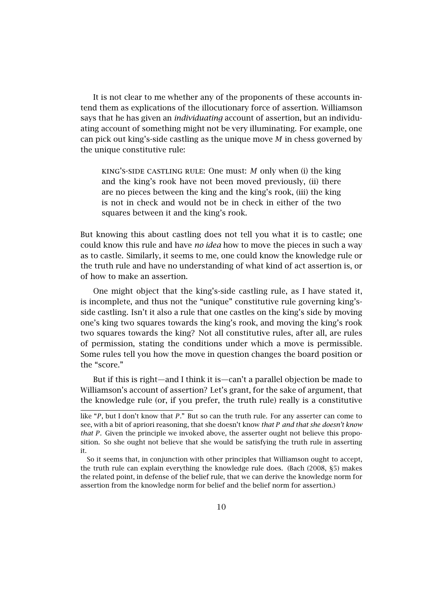It is not clear to me whether any of the proponents of these accounts intend them as explications of the illocutionary force of assertion. Williamson says that he has given an *individuating* account of assertion, but an individuating account of something might not be very illuminating. For example, one can pick out king's-side castling as the unique move *M* in chess governed by the unique constitutive rule:

king's-side castling rule: One must: *M* only when (i) the king and the king's rook have not been moved previously, (ii) there are no pieces between the king and the king's rook, (iii) the king is not in check and would not be in check in either of the two squares between it and the king's rook.

But knowing this about castling does not tell you what it is to castle; one could know this rule and have *no idea* how to move the pieces in such a way as to castle. Similarly, it seems to me, one could know the knowledge rule or the truth rule and have no understanding of what kind of act assertion is, or of how to make an assertion.

One might object that the king's-side castling rule, as I have stated it, is incomplete, and thus not the "unique" constitutive rule governing king'sside castling. Isn't it also a rule that one castles on the king's side by moving one's king two squares towards the king's rook, and moving the king's rook two squares towards the king? Not all constitutive rules, after all, are rules of permission, stating the conditions under which a move is permissible. Some rules tell you how the move in question changes the board position or the "score."

But if this is right—and I think it is—can't a parallel objection be made to Williamson's account of assertion? Let's grant, for the sake of argument, that the knowledge rule (or, if you prefer, the truth rule) really is a constitutive

like "*P*, but I don't know that *P*." But so can the truth rule. For any asserter can come to see, with a bit of apriori reasoning, that she doesn't know *that P and that she doesn't know that P*. Given the principle we invoked above, the asserter ought not believe this proposition. So she ought not believe that she would be satisfying the truth rule in asserting it.

So it seems that, in conjunction with other principles that Williamson ought to accept, the truth rule can explain everything the knowledge rule does. (Bach (2008, §5) makes the related point, in defense of the belief rule, that we can derive the knowledge norm for assertion from the knowledge norm for belief and the belief norm for assertion.)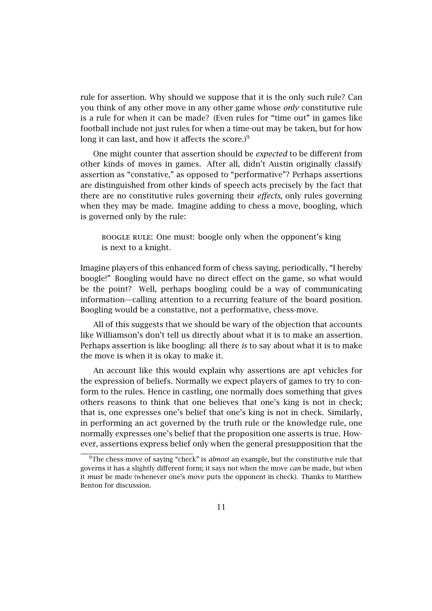rule for assertion. Why should we suppose that it is the only such rule? Can you think of any other move in any other game whose *only* constitutive rule is a rule for when it can be made? (Even rules for "time out" in games like football include not just rules for when a time-out may be taken, but for how long it can last, and how it affects the score.) $9$ 

One might counter that assertion should be *expected* to be different from other kinds of moves in games. After all, didn't Austin originally classify assertion as "constative," as opposed to "performative"? Perhaps assertions are distinguished from other kinds of speech acts precisely by the fact that there are no constitutive rules governing their *effects*, only rules governing when they may be made. Imagine adding to chess a move, boogling, which is governed only by the rule:

boogle rule: One must: boogle only when the opponent's king is next to a knight.

Imagine players of this enhanced form of chess saying, periodically, "I hereby boogle!" Boogling would have no direct effect on the game, so what would be the point? Well, perhaps boogling could be a way of communicating information—calling attention to a recurring feature of the board position. Boogling would be a constative, not a performative, chess-move.

All of this suggests that we should be wary of the objection that accounts like Williamson's don't tell us directly about what it is to make an assertion. Perhaps assertion is like boogling: all there *is* to say about what it is to make the move is when it is okay to make it.

An account like this would explain why assertions are apt vehicles for the expression of beliefs. Normally we expect players of games to try to conform to the rules. Hence in castling, one normally does something that gives others reasons to think that one believes that one's king is not in check; that is, one expresses one's belief that one's king is not in check. Similarly, in performing an act governed by the truth rule or the knowledge rule, one normally expresses one's belief that the proposition one asserts is true. However, assertions express belief only when the general presupposition that the

<sup>9</sup>The chess-move of saying "check" is *almost* an example, but the constitutive rule that governs it has a slightly different form; it says not when the move *can* be made, but when it *must* be made (whenever one's move puts the opponent in check). Thanks to Matthew Benton for discussion.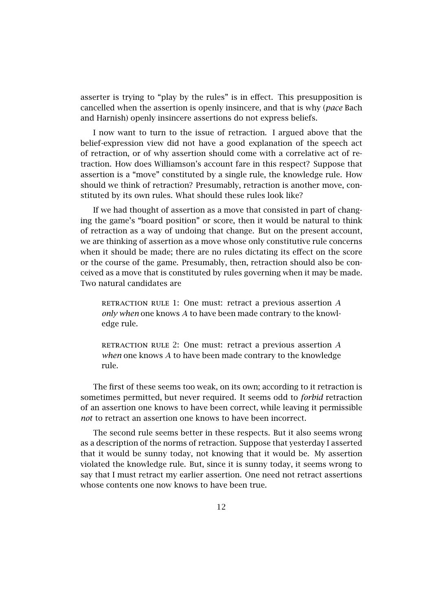asserter is trying to "play by the rules" is in effect. This presupposition is cancelled when the assertion is openly insincere, and that is why (*pace* Bach and Harnish) openly insincere assertions do not express beliefs.

I now want to turn to the issue of retraction. I argued above that the belief-expression view did not have a good explanation of the speech act of retraction, or of why assertion should come with a correlative act of retraction. How does Williamson's account fare in this respect? Suppose that assertion is a "move" constituted by a single rule, the knowledge rule. How should we think of retraction? Presumably, retraction is another move, constituted by its own rules. What should these rules look like?

If we had thought of assertion as a move that consisted in part of changing the game's "board position" or score, then it would be natural to think of retraction as a way of undoing that change. But on the present account, we are thinking of assertion as a move whose only constitutive rule concerns when it should be made; there are no rules dictating its effect on the score or the course of the game. Presumably, then, retraction should also be conceived as a move that is constituted by rules governing when it may be made. Two natural candidates are

retraction rule 1: One must: retract a previous assertion *A only when* one knows *A* to have been made contrary to the knowledge rule.

retraction rule 2: One must: retract a previous assertion *A when* one knows *A* to have been made contrary to the knowledge rule.

The first of these seems too weak, on its own; according to it retraction is sometimes permitted, but never required. It seems odd to *forbid* retraction of an assertion one knows to have been correct, while leaving it permissible *not* to retract an assertion one knows to have been incorrect.

The second rule seems better in these respects. But it also seems wrong as a description of the norms of retraction. Suppose that yesterday I asserted that it would be sunny today, not knowing that it would be. My assertion violated the knowledge rule. But, since it is sunny today, it seems wrong to say that I must retract my earlier assertion. One need not retract assertions whose contents one now knows to have been true.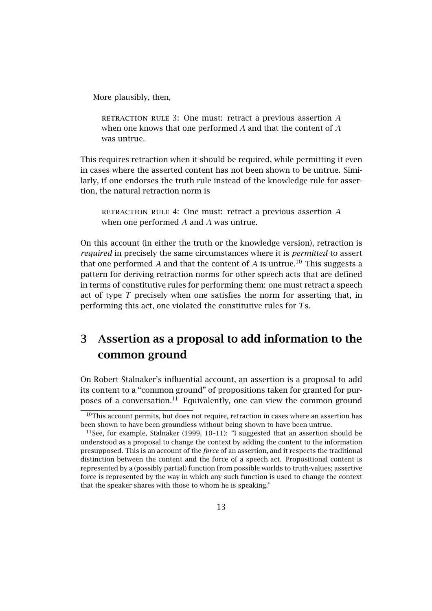More plausibly, then,

retraction rule 3: One must: retract a previous assertion *A* when one knows that one performed *A* and that the content of *A* was untrue.

This requires retraction when it should be required, while permitting it even in cases where the asserted content has not been shown to be untrue. Similarly, if one endorses the truth rule instead of the knowledge rule for assertion, the natural retraction norm is

retraction rule 4: One must: retract a previous assertion *A* when one performed *A* and *A* was untrue.

On this account (in either the truth or the knowledge version), retraction is *required* in precisely the same circumstances where it is *permitted* to assert that one performed  $A$  and that the content of  $A$  is untrue.<sup>10</sup> This suggests a pattern for deriving retraction norms for other speech acts that are defined in terms of constitutive rules for performing them: one must retract a speech act of type *T* precisely when one satisfies the norm for asserting that, in performing this act, one violated the constitutive rules for *T*s.

# 3 Assertion as a proposal to add information to the common ground

On Robert Stalnaker's influential account, an assertion is a proposal to add its content to a "common ground" of propositions taken for granted for purposes of a conversation.<sup>11</sup> Equivalently, one can view the common ground

 $10$ This account permits, but does not require, retraction in cases where an assertion has been shown to have been groundless without being shown to have been untrue.

<sup>&</sup>lt;sup>11</sup>See, for example, Stalnaker  $(1999, 10-11)$ : "I suggested that an assertion should be understood as a proposal to change the context by adding the content to the information presupposed. This is an account of the *force* of an assertion, and it respects the traditional distinction between the content and the force of a speech act. Propositional content is represented by a (possibly partial) function from possible worlds to truth-values; assertive force is represented by the way in which any such function is used to change the context that the speaker shares with those to whom he is speaking."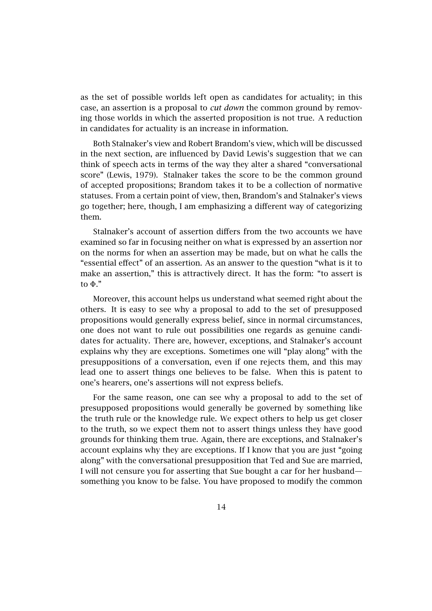as the set of possible worlds left open as candidates for actuality; in this case, an assertion is a proposal to *cut down* the common ground by removing those worlds in which the asserted proposition is not true. A reduction in candidates for actuality is an increase in information.

Both Stalnaker's view and Robert Brandom's view, which will be discussed in the next section, are influenced by David Lewis's suggestion that we can think of speech acts in terms of the way they alter a shared "conversational score" (Lewis, 1979). Stalnaker takes the score to be the common ground of accepted propositions; Brandom takes it to be a collection of normative statuses. From a certain point of view, then, Brandom's and Stalnaker's views go together; here, though, I am emphasizing a different way of categorizing them.

Stalnaker's account of assertion differs from the two accounts we have examined so far in focusing neither on what is expressed by an assertion nor on the norms for when an assertion may be made, but on what he calls the "essential effect" of an assertion. As an answer to the question "what is it to make an assertion," this is attractively direct. It has the form: "to assert is to Φ."

Moreover, this account helps us understand what seemed right about the others. It is easy to see why a proposal to add to the set of presupposed propositions would generally express belief, since in normal circumstances, one does not want to rule out possibilities one regards as genuine candidates for actuality. There are, however, exceptions, and Stalnaker's account explains why they are exceptions. Sometimes one will "play along" with the presuppositions of a conversation, even if one rejects them, and this may lead one to assert things one believes to be false. When this is patent to one's hearers, one's assertions will not express beliefs.

For the same reason, one can see why a proposal to add to the set of presupposed propositions would generally be governed by something like the truth rule or the knowledge rule. We expect others to help us get closer to the truth, so we expect them not to assert things unless they have good grounds for thinking them true. Again, there are exceptions, and Stalnaker's account explains why they are exceptions. If I know that you are just "going along" with the conversational presupposition that Ted and Sue are married, I will not censure you for asserting that Sue bought a car for her husband something you know to be false. You have proposed to modify the common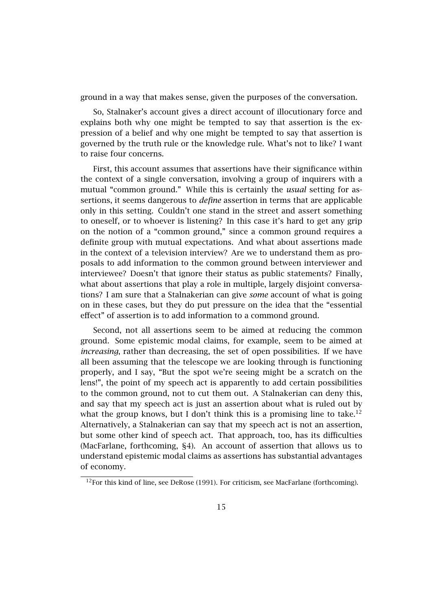ground in a way that makes sense, given the purposes of the conversation.

So, Stalnaker's account gives a direct account of illocutionary force and explains both why one might be tempted to say that assertion is the expression of a belief and why one might be tempted to say that assertion is governed by the truth rule or the knowledge rule. What's not to like? I want to raise four concerns.

First, this account assumes that assertions have their significance within the context of a single conversation, involving a group of inquirers with a mutual "common ground." While this is certainly the *usual* setting for assertions, it seems dangerous to *define* assertion in terms that are applicable only in this setting. Couldn't one stand in the street and assert something to oneself, or to whoever is listening? In this case it's hard to get any grip on the notion of a "common ground," since a common ground requires a definite group with mutual expectations. And what about assertions made in the context of a television interview? Are we to understand them as proposals to add information to the common ground between interviewer and interviewee? Doesn't that ignore their status as public statements? Finally, what about assertions that play a role in multiple, largely disjoint conversations? I am sure that a Stalnakerian can give *some* account of what is going on in these cases, but they do put pressure on the idea that the "essential effect" of assertion is to add information to a commond ground.

Second, not all assertions seem to be aimed at reducing the common ground. Some epistemic modal claims, for example, seem to be aimed at *increasing*, rather than decreasing, the set of open possibilities. If we have all been assuming that the telescope we are looking through is functioning properly, and I say, "But the spot we're seeing might be a scratch on the lens!", the point of my speech act is apparently to add certain possibilities to the common ground, not to cut them out. A Stalnakerian can deny this, and say that my speech act is just an assertion about what is ruled out by what the group knows, but I don't think this is a promising line to take.<sup>12</sup> Alternatively, a Stalnakerian can say that my speech act is not an assertion, but some other kind of speech act. That approach, too, has its difficulties (MacFarlane, forthcoming, §4). An account of assertion that allows us to understand epistemic modal claims as assertions has substantial advantages of economy.

 $12$ For this kind of line, see DeRose (1991). For criticism, see MacFarlane (forthcoming).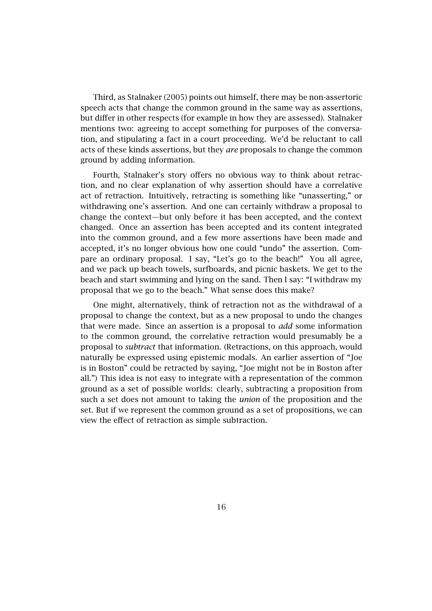Third, as Stalnaker (2005) points out himself, there may be non-assertoric speech acts that change the common ground in the same way as assertions, but differ in other respects (for example in how they are assessed). Stalnaker mentions two: agreeing to accept something for purposes of the conversation, and stipulating a fact in a court proceeding. We'd be reluctant to call acts of these kinds assertions, but they *are* proposals to change the common ground by adding information.

Fourth, Stalnaker's story offers no obvious way to think about retraction, and no clear explanation of why assertion should have a correlative act of retraction. Intuitively, retracting is something like "unasserting," or withdrawing one's assertion. And one can certainly withdraw a proposal to change the context—but only before it has been accepted, and the context changed. Once an assertion has been accepted and its content integrated into the common ground, and a few more assertions have been made and accepted, it's no longer obvious how one could "undo" the assertion. Compare an ordinary proposal. I say, "Let's go to the beach!" You all agree, and we pack up beach towels, surfboards, and picnic baskets. We get to the beach and start swimming and lying on the sand. Then I say: "I withdraw my proposal that we go to the beach." What sense does this make?

One might, alternatively, think of retraction not as the withdrawal of a proposal to change the context, but as a new proposal to undo the changes that were made. Since an assertion is a proposal to *add* some information to the common ground, the correlative retraction would presumably be a proposal to *subtract* that information. (Retractions, on this approach, would naturally be expressed using epistemic modals. An earlier assertion of "Joe is in Boston" could be retracted by saying, "Joe might not be in Boston after all.") This idea is not easy to integrate with a representation of the common ground as a set of possible worlds: clearly, subtracting a proposition from such a set does not amount to taking the *union* of the proposition and the set. But if we represent the common ground as a set of propositions, we can view the effect of retraction as simple subtraction.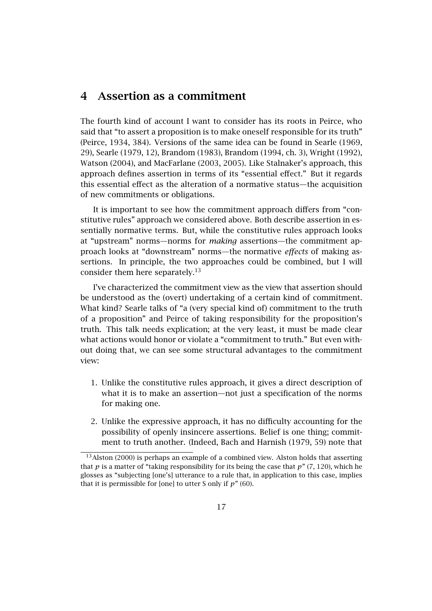## 4 Assertion as a commitment

The fourth kind of account I want to consider has its roots in Peirce, who said that "to assert a proposition is to make oneself responsible for its truth" (Peirce, 1934, 384). Versions of the same idea can be found in Searle (1969, 29), Searle (1979, 12), Brandom (1983), Brandom (1994, ch. 3), Wright (1992), Watson (2004), and MacFarlane (2003, 2005). Like Stalnaker's approach, this approach defines assertion in terms of its "essential effect." But it regards this essential effect as the alteration of a normative status—the acquisition of new commitments or obligations.

It is important to see how the commitment approach differs from "constitutive rules" approach we considered above. Both describe assertion in essentially normative terms. But, while the constitutive rules approach looks at "upstream" norms—norms for *making* assertions—the commitment approach looks at "downstream" norms—the normative *effects* of making assertions. In principle, the two approaches could be combined, but I will consider them here separately.<sup>13</sup>

I've characterized the commitment view as the view that assertion should be understood as the (overt) undertaking of a certain kind of commitment. What kind? Searle talks of "a (very special kind of) commitment to the truth of a proposition" and Peirce of taking responsibility for the proposition's truth. This talk needs explication; at the very least, it must be made clear what actions would honor or violate a "commitment to truth." But even without doing that, we can see some structural advantages to the commitment view:

- 1. Unlike the constitutive rules approach, it gives a direct description of what it is to make an assertion—not just a specification of the norms for making one.
- 2. Unlike the expressive approach, it has no difficulty accounting for the possibility of openly insincere assertions. Belief is one thing; commitment to truth another. (Indeed, Bach and Harnish (1979, 59) note that

<sup>13</sup>Alston (2000) is perhaps an example of a combined view. Alston holds that asserting that *p* is a matter of "taking responsibility for its being the case that  $p''(7, 120)$ , which he glosses as "subjecting [one's] utterance to a rule that, in application to this case, implies that it is permissible for [one] to utter S only if *p*" (60).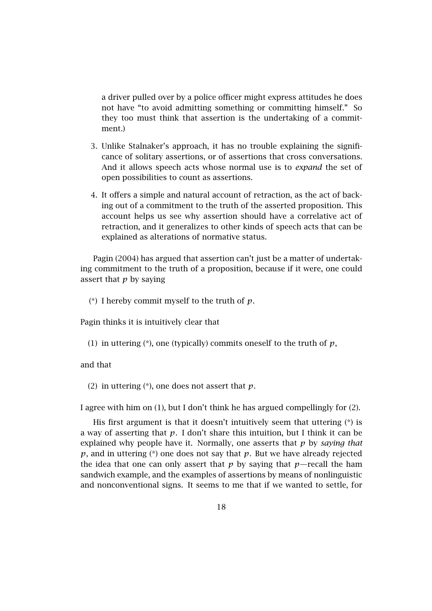a driver pulled over by a police officer might express attitudes he does not have "to avoid admitting something or committing himself." So they too must think that assertion is the undertaking of a commitment.)

- 3. Unlike Stalnaker's approach, it has no trouble explaining the significance of solitary assertions, or of assertions that cross conversations. And it allows speech acts whose normal use is to *expand* the set of open possibilities to count as assertions.
- 4. It offers a simple and natural account of retraction, as the act of backing out of a commitment to the truth of the asserted proposition. This account helps us see why assertion should have a correlative act of retraction, and it generalizes to other kinds of speech acts that can be explained as alterations of normative status.

Pagin (2004) has argued that assertion can't just be a matter of undertaking commitment to the truth of a proposition, because if it were, one could assert that *p* by saying

(\*) I hereby commit myself to the truth of *p*.

Pagin thinks it is intuitively clear that

(1) in uttering (\*), one (typically) commits oneself to the truth of *p*,

and that

(2) in uttering (\*), one does not assert that *p*.

I agree with him on (1), but I don't think he has argued compellingly for (2).

His first argument is that it doesn't intuitively seem that uttering  $(*)$  is a way of asserting that  $p$ . I don't share this intuition, but I think it can be explained why people have it. Normally, one asserts that *p* by *saying that p*, and in uttering (\*) one does not say that *p*. But we have already rejected the idea that one can only assert that  $p$  by saying that  $p$ —recall the ham sandwich example, and the examples of assertions by means of nonlinguistic and nonconventional signs. It seems to me that if we wanted to settle, for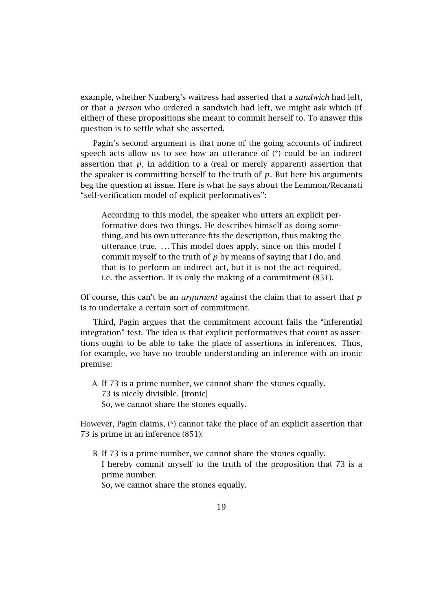example, whether Nunberg's waitress had asserted that a *sandwich* had left, or that a *person* who ordered a sandwich had left, we might ask which (if either) of these propositions she meant to commit herself to. To answer this question is to settle what she asserted.

Pagin's second argument is that none of the going accounts of indirect speech acts allow us to see how an utterance of (\*) could be an indirect assertion that  $p$ , in addition to a (real or merely apparent) assertion that the speaker is committing herself to the truth of  $p$ . But here his arguments beg the question at issue. Here is what he says about the Lemmon/Recanati "self-verification model of explicit performatives":

According to this model, the speaker who utters an explicit performative does two things. He describes himself as doing something, and his own utterance fits the description, thus making the utterance true. ... This model does apply, since on this model I commit myself to the truth of *p* by means of saying that I do, and that is to perform an indirect act, but it is not the act required, i.e. the assertion. It is only the making of a commitment (851).

Of course, this can't be an *argument* against the claim that to assert that *p* is to undertake a certain sort of commitment.

Third, Pagin argues that the commitment account fails the "inferential integration" test. The idea is that explicit performatives that count as assertions ought to be able to take the place of assertions in inferences. Thus, for example, we have no trouble understanding an inference with an ironic premise:

A If 73 is a prime number, we cannot share the stones equally. 73 is nicely divisible. [ironic] So, we cannot share the stones equally.

However, Pagin claims, (\*) cannot take the place of an explicit assertion that 73 is prime in an inference (851):

B If 73 is a prime number, we cannot share the stones equally. I hereby commit myself to the truth of the proposition that 73 is a prime number.

So, we cannot share the stones equally.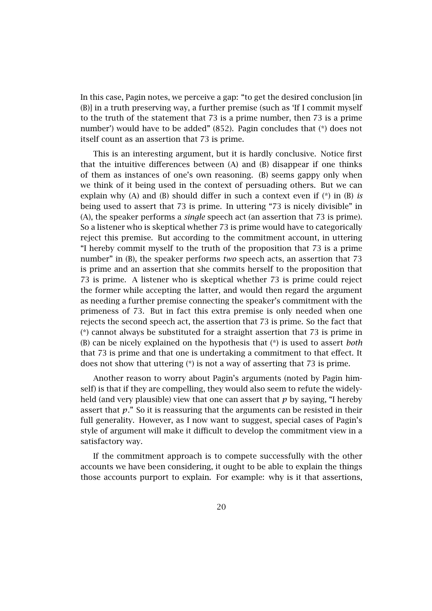In this case, Pagin notes, we perceive a gap: "to get the desired conclusion [in (B)] in a truth preserving way, a further premise (such as 'If I commit myself to the truth of the statement that 73 is a prime number, then 73 is a prime number') would have to be added" (852). Pagin concludes that (\*) does not itself count as an assertion that 73 is prime.

This is an interesting argument, but it is hardly conclusive. Notice first that the intuitive differences between (A) and (B) disappear if one thinks of them as instances of one's own reasoning. (B) seems gappy only when we think of it being used in the context of persuading others. But we can explain why (A) and (B) should differ in such a context even if (\*) in (B) *is* being used to assert that 73 is prime. In uttering "73 is nicely divisible" in (A), the speaker performs a *single* speech act (an assertion that 73 is prime). So a listener who is skeptical whether 73 is prime would have to categorically reject this premise. But according to the commitment account, in uttering "I hereby commit myself to the truth of the proposition that 73 is a prime number" in (B), the speaker performs *two* speech acts, an assertion that 73 is prime and an assertion that she commits herself to the proposition that 73 is prime. A listener who is skeptical whether 73 is prime could reject the former while accepting the latter, and would then regard the argument as needing a further premise connecting the speaker's commitment with the primeness of 73. But in fact this extra premise is only needed when one rejects the second speech act, the assertion that 73 is prime. So the fact that (\*) cannot always be substituted for a straight assertion that 73 is prime in (B) can be nicely explained on the hypothesis that (\*) is used to assert *both* that 73 is prime and that one is undertaking a commitment to that effect. It does not show that uttering (\*) is not a way of asserting that 73 is prime.

Another reason to worry about Pagin's arguments (noted by Pagin himself) is that if they are compelling, they would also seem to refute the widelyheld (and very plausible) view that one can assert that *p* by saying, "I hereby assert that *p*." So it is reassuring that the arguments can be resisted in their full generality. However, as I now want to suggest, special cases of Pagin's style of argument will make it difficult to develop the commitment view in a satisfactory way.

If the commitment approach is to compete successfully with the other accounts we have been considering, it ought to be able to explain the things those accounts purport to explain. For example: why is it that assertions,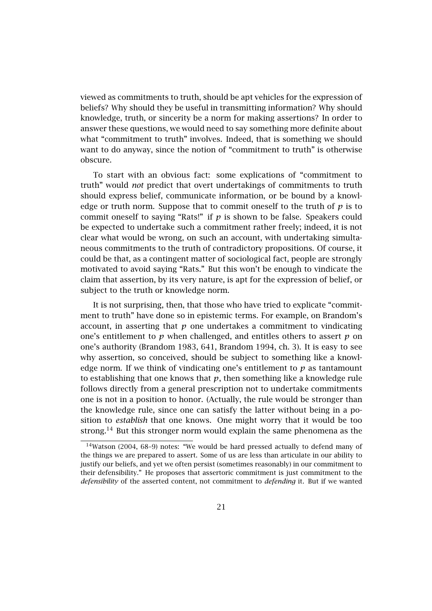viewed as commitments to truth, should be apt vehicles for the expression of beliefs? Why should they be useful in transmitting information? Why should knowledge, truth, or sincerity be a norm for making assertions? In order to answer these questions, we would need to say something more definite about what "commitment to truth" involves. Indeed, that is something we should want to do anyway, since the notion of "commitment to truth" is otherwise obscure.

To start with an obvious fact: some explications of "commitment to truth" would *not* predict that overt undertakings of commitments to truth should express belief, communicate information, or be bound by a knowledge or truth norm. Suppose that to commit oneself to the truth of *p* is to commit oneself to saying "Rats!" if *p* is shown to be false. Speakers could be expected to undertake such a commitment rather freely; indeed, it is not clear what would be wrong, on such an account, with undertaking simultaneous commitments to the truth of contradictory propositions. Of course, it could be that, as a contingent matter of sociological fact, people are strongly motivated to avoid saying "Rats." But this won't be enough to vindicate the claim that assertion, by its very nature, is apt for the expression of belief, or subject to the truth or knowledge norm.

It is not surprising, then, that those who have tried to explicate "commitment to truth" have done so in epistemic terms. For example, on Brandom's account, in asserting that  $p$  one undertakes a commitment to vindicating one's entitlement to *p* when challenged, and entitles others to assert *p* on one's authority (Brandom 1983, 641, Brandom 1994, ch. 3). It is easy to see why assertion, so conceived, should be subject to something like a knowledge norm. If we think of vindicating one's entitlement to *p* as tantamount to establishing that one knows that  $p$ , then something like a knowledge rule follows directly from a general prescription not to undertake commitments one is not in a position to honor. (Actually, the rule would be stronger than the knowledge rule, since one can satisfy the latter without being in a position to *establish* that one knows. One might worry that it would be too strong.<sup>14</sup> But this stronger norm would explain the same phenomena as the

<sup>14</sup>Watson (2004, 68–9) notes: "We would be hard pressed actually to defend many of the things we are prepared to assert. Some of us are less than articulate in our ability to justify our beliefs, and yet we often persist (sometimes reasonably) in our commitment to their defensibility." He proposes that assertoric commitment is just commitment to the *defensibility* of the asserted content, not commitment to *defending* it. But if we wanted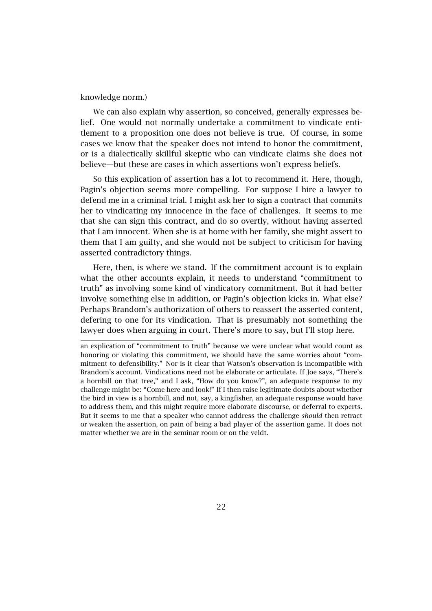#### knowledge norm.)

We can also explain why assertion, so conceived, generally expresses belief. One would not normally undertake a commitment to vindicate entitlement to a proposition one does not believe is true. Of course, in some cases we know that the speaker does not intend to honor the commitment, or is a dialectically skillful skeptic who can vindicate claims she does not believe—but these are cases in which assertions won't express beliefs.

So this explication of assertion has a lot to recommend it. Here, though, Pagin's objection seems more compelling. For suppose I hire a lawyer to defend me in a criminal trial. I might ask her to sign a contract that commits her to vindicating my innocence in the face of challenges. It seems to me that she can sign this contract, and do so overtly, without having asserted that I am innocent. When she is at home with her family, she might assert to them that I am guilty, and she would not be subject to criticism for having asserted contradictory things.

Here, then, is where we stand. If the commitment account is to explain what the other accounts explain, it needs to understand "commitment to truth" as involving some kind of vindicatory commitment. But it had better involve something else in addition, or Pagin's objection kicks in. What else? Perhaps Brandom's authorization of others to reassert the asserted content, defering to one for its vindication. That is presumably not something the lawyer does when arguing in court. There's more to say, but I'll stop here.

an explication of "commitment to truth" because we were unclear what would count as honoring or violating this commitment, we should have the same worries about "commitment to defensibility." Nor is it clear that Watson's observation is incompatible with Brandom's account. Vindications need not be elaborate or articulate. If Joe says, "There's a hornbill on that tree," and I ask, "How do you know?", an adequate response to my challenge might be: "Come here and look!" If I then raise legitimate doubts about whether the bird in view is a hornbill, and not, say, a kingfisher, an adequate response would have to address them, and this might require more elaborate discourse, or deferral to experts. But it seems to me that a speaker who cannot address the challenge *should* then retract or weaken the assertion, on pain of being a bad player of the assertion game. It does not matter whether we are in the seminar room or on the veldt.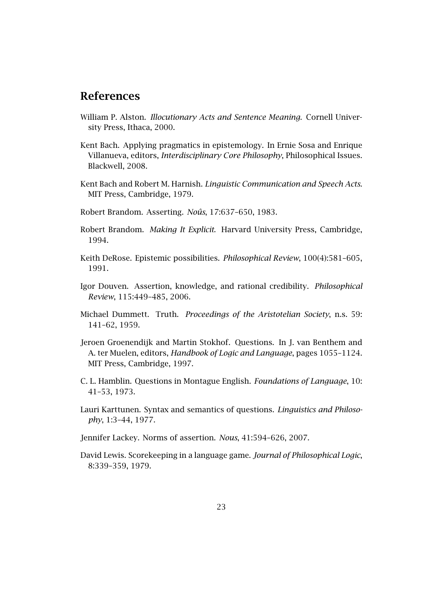#### References

- William P. Alston. *Illocutionary Acts and Sentence Meaning*. Cornell University Press, Ithaca, 2000.
- Kent Bach. Applying pragmatics in epistemology. In Ernie Sosa and Enrique Villanueva, editors, *Interdisciplinary Core Philosophy*, Philosophical Issues. Blackwell, 2008.
- Kent Bach and Robert M. Harnish. *Linguistic Communication and Speech Acts*. MIT Press, Cambridge, 1979.
- Robert Brandom. Asserting. *Noûs*, 17:637–650, 1983.
- Robert Brandom. *Making It Explicit*. Harvard University Press, Cambridge, 1994.
- Keith DeRose. Epistemic possibilities. *Philosophical Review*, 100(4):581–605, 1991.
- Igor Douven. Assertion, knowledge, and rational credibility. *Philosophical Review*, 115:449–485, 2006.
- Michael Dummett. Truth. *Proceedings of the Aristotelian Society*, n.s. 59: 141–62, 1959.
- Jeroen Groenendijk and Martin Stokhof. Questions. In J. van Benthem and A. ter Muelen, editors, *Handbook of Logic and Language*, pages 1055–1124. MIT Press, Cambridge, 1997.
- C. L. Hamblin. Questions in Montague English. *Foundations of Language*, 10: 41–53, 1973.
- Lauri Karttunen. Syntax and semantics of questions. *Linguistics and Philosophy*, 1:3–44, 1977.
- Jennifer Lackey. Norms of assertion. *Nous*, 41:594–626, 2007.
- David Lewis. Scorekeeping in a language game. *Journal of Philosophical Logic*, 8:339–359, 1979.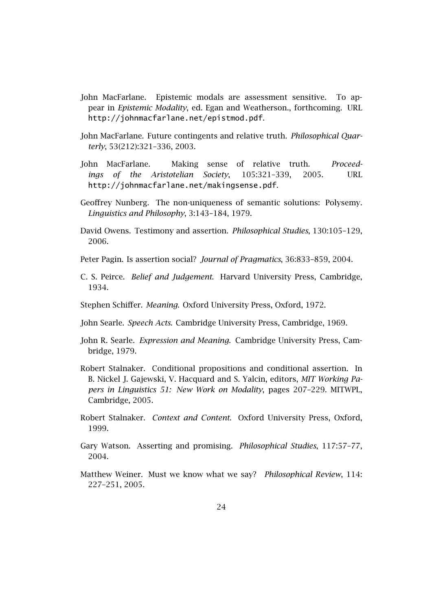- John MacFarlane. Epistemic modals are assessment sensitive. To appear in *Epistemic Modality*, ed. Egan and Weatherson., forthcoming. URL http://johnmacfarlane.net/epistmod.pdf.
- John MacFarlane. Future contingents and relative truth. *Philosophical Quarterly*, 53(212):321–336, 2003.
- John MacFarlane. Making sense of relative truth. *Proceedings of the Aristotelian Society*, 105:321–339, 2005. URL http://johnmacfarlane.net/makingsense.pdf.
- Geoffrey Nunberg. The non-uniqueness of semantic solutions: Polysemy. *Linguistics and Philosophy*, 3:143–184, 1979.
- David Owens. Testimony and assertion. *Philosophical Studies*, 130:105–129, 2006.
- Peter Pagin. Is assertion social? *Journal of Pragmatics*, 36:833–859, 2004.
- C. S. Peirce. *Belief and Judgement*. Harvard University Press, Cambridge, 1934.
- Stephen Schiffer. *Meaning*. Oxford University Press, Oxford, 1972.
- John Searle. *Speech Acts*. Cambridge University Press, Cambridge, 1969.
- John R. Searle. *Expression and Meaning*. Cambridge University Press, Cambridge, 1979.
- Robert Stalnaker. Conditional propositions and conditional assertion. In B. Nickel J. Gajewski, V. Hacquard and S. Yalcin, editors, *MIT Working Papers in Linguistics 51: New Work on Modality*, pages 207–229. MITWPL, Cambridge, 2005.
- Robert Stalnaker. *Context and Content*. Oxford University Press, Oxford, 1999.
- Gary Watson. Asserting and promising. *Philosophical Studies*, 117:57–77, 2004.
- Matthew Weiner. Must we know what we say? *Philosophical Review*, 114: 227–251, 2005.